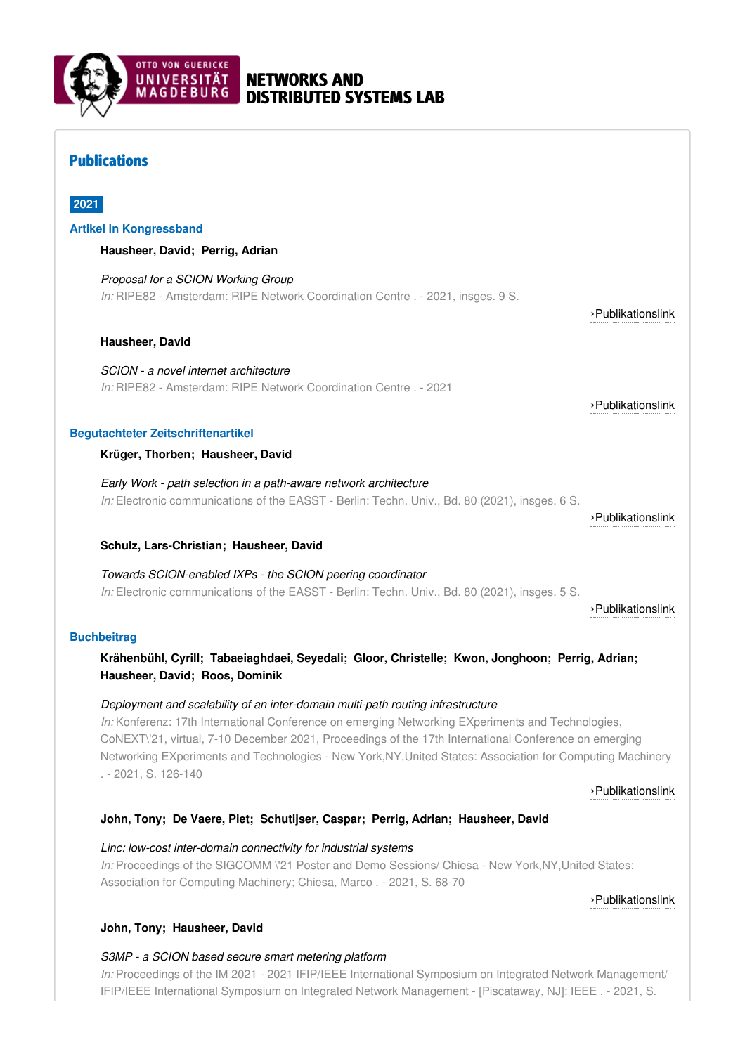

# NETWORKS AND DISTRIBUTED SYSTEMS LAB

# Publications

# **2021**

### **Artikel in Kongressband**

**Hausheer, David; Perrig, Adrian**

*Proposal for a SCION Working Group In:* RIPE82 - Amsterdam: RIPE Network Coordination Centre . - 2021, insges. 9 S.

### **Hausheer, David**

*SCION - a novel internet architecture In:* RIPE82 - Amsterdam: RIPE Network Coordination Centre . - 2021

### **Begutachteter Zeitschriftenartikel**

**Krüger, Thorben; Hausheer, David**

*Early Work - path selection in a path-aware network architecture In:* Electronic communications of the EASST - Berlin: Techn. Univ., Bd. 80 (2021), insges. 6 S.

### **Schulz, Lars-Christian; Hausheer, David**

*Towards SCION-enabled IXPs - the SCION peering coordinator In:* Electronic communications of the EASST - Berlin: Techn. Univ., Bd. 80 (2021), insges. 5 S.

### **Buchbeitrag**

# **Krähenbühl, Cyrill; Tabaeiaghdaei, Seyedali; Gloor, Christelle; Kwon, Jonghoon; Perrig, Adrian; Hausheer, David; Roos, Dominik**

### *Deployment and scalability of an inter-domain multi-path routing infrastructure*

*In:* Konferenz: 17th International Conference on emerging Networking EXperiments and Technologies, CoNEXT\'21, virtual, 7-10 December 2021, Proceedings of the 17th International Conference on emerging Networking EXperiments and Technologies - New York,NY,United States: Association for Computing Machinery . - 2021, S. 126-140

#### ›[Publikationslink](http://dx.doi.org/10.1145/3485983.3494862 10.25673/86285)

# **John, Tony; De Vaere, Piet; Schutijser, Caspar; Perrig, Adrian; Hausheer, David**

*Linc: low-cost inter-domain connectivity for industrial systems In:* Proceedings of the SIGCOMM \'21 Poster and Demo Sessions/ Chiesa - New York,NY, United States: Association for Computing Machinery; Chiesa, Marco . - 2021, S. 68-70

›[Publikationslink](http://dx.doi.org/10.1145/3472716.3472850)

### **John, Tony; Hausheer, David**

### *S3MP - a SCION based secure smart metering platform*

*In:* Proceedings of the IM 2021 - 2021 IFIP/IEEE International Symposium on Integrated Network Management/ IFIP/IEEE International Symposium on Integrated Network Management - [Piscataway, NJ]: IEEE . - 2021, S.

›[Publikationslink](https://ripe82.ripe.net/wp-content/uploads/presentations/35-Proposal-for-a-SCION-Working-Group.pdf)

›[Publikationslink](https://labs.ripe.net/author/hausheer/scion-a-novel-internet-architecture/)

›[Publikationslink](http://dx.doi.org/10.14279/tuj.eceasst.80.1140)

›[Publikationslink](http://dx.doi.org/10.14279/tuj.eceasst.80.1159.1091)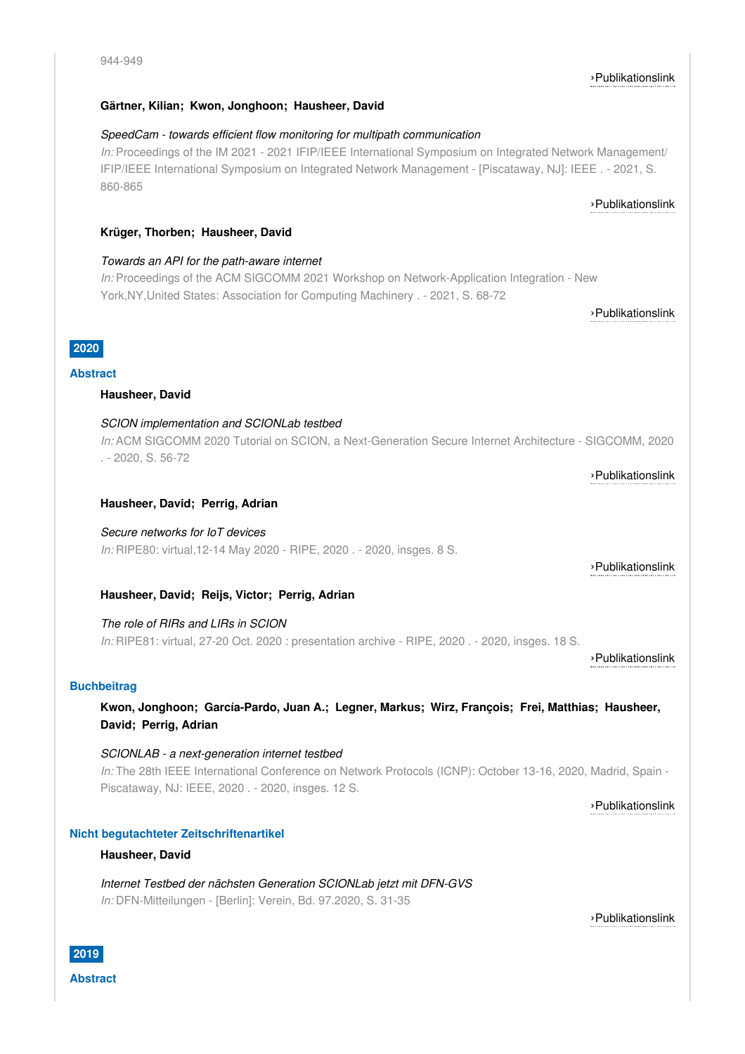# **Gärtner, Kilian; Kwon, Jonghoon; Hausheer, David**

# *SpeedCam - towards efficient flow monitoring for multipath communication*

*In:* Proceedings of the IM 2021 - 2021 IFIP/IEEE International Symposium on Integrated Network Management/ IFIP/IEEE International Symposium on Integrated Network Management - [Piscataway, NJ]: IEEE . - 2021, S. 860-865

# **Krüger, Thorben; Hausheer, David**

# *Towards an API for the path-aware internet*

*In:* Proceedings of the ACM SIGCOMM 2021 Workshop on Network-Application Integration - New York,NY,United States: Association for Computing Machinery . - 2021, S. 68-72

›[Publikationslink](http://dx.doi.org/10.1145/3472727.3472808 10.25673/86254)

›[Publikationslink](https://conferences.sigcomm.org/sigcomm/2020/tutorial-scion.html)

›[Publikationslink](https://ripe80.ripe.net/wp-content/uploads/8.-David-Hausheer.pdf)

›[Publikationslink](https://ieeexplore.ieee.org/document/9463970)

# **2020 Abstract**

### **Hausheer, David**

#### *SCION implementation and SCIONLab testbed*

*In:* ACM SIGCOMM 2020 Tutorial on SCION, a Next-Generation Secure Internet Architecture - SIGCOMM, 2020 . - 2020, S. 56-72

#### **Hausheer, David; Perrig, Adrian**

*Secure networks for IoT devices*

*In:* RIPE80: virtual,12-14 May 2020 - RIPE, 2020 . - 2020, insges. 8 S.

## **Hausheer, David; Reijs, Victor; Perrig, Adrian**

*The role of RIRs and LIRs in SCION In:* RIPE81: virtual, 27-20 Oct. 2020 : presentation archive - RIPE, 2020 . - 2020, insges. 18 S.

#### ›[Publikationslink](https://ripe81.ripe.net/wp-content/uploads/presentations/7-The-Role-of-RIRs-and-LIRs-in-SCION.pdf)

### **Buchbeitrag**

**Kwon, Jonghoon; García-Pardo, Juan A.; Legner, Markus; Wirz, François; Frei, Matthias; Hausheer, David; Perrig, Adrian**

*SCIONLAB - a next-generation internet testbed In:* The 28th IEEE International Conference on Network Protocols (ICNP): October 13-16, 2020, Madrid, Spain - Piscataway, NJ: IEEE, 2020 . - 2020, insges. 12 S.

›[Publikationslink](http://dx.doi.org/10.1109/ICNP49622.2020.9259355)

#### **Nicht begutachteter Zeitschriftenartikel**

#### **Hausheer, David**

*Internet Testbed der nächsten Generation SCIONLab jetzt mit DFN-GVS In:* DFN-Mitteilungen - [Berlin]: Verein, Bd. 97.2020, S. 31-35

›[Publikationslink](https://www.dfn.de/fileadmin/5Presse/DFNMitteilungen/DFN_Mitteilungen_97_download.pdf)

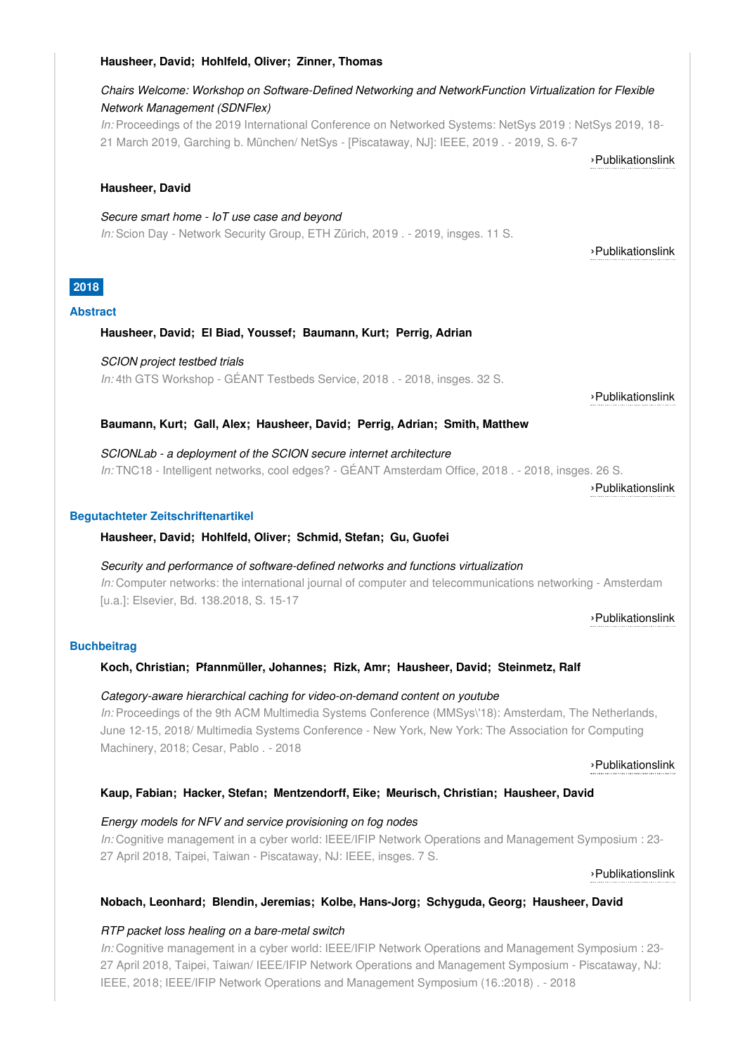#### **Hausheer, David; Hohlfeld, Oliver; Zinner, Thomas**

# *Chairs Welcome: Workshop on Software-Defined Networking and NetworkFunction Virtualization for Flexible Network Management (SDNFlex)*

*In:* Proceedings of the 2019 International Conference on Networked Systems: NetSys 2019 : NetSys 2019, 18- 21 March 2019, Garching b. München/ NetSys - [Piscataway, NJ]: IEEE, 2019 . - 2019, S. 6-7

›[Publikationslink](http://dx.doi.org/10.1109/NetSys.2019.8854505)

#### **Hausheer, David**

*Secure smart home - IoT use case and beyond In:* Scion Day - Network Security Group, ETH Zürich, 2019 . - 2019, insges. 11 S.

›[Publikationslink](https://www.scion-architecture.net/pages/scion_day/slides/Secure smart home - IoT use case.pdf)

# **2018**

#### **Abstract**

### **Hausheer, David; El Biad, Youssef; Baumann, Kurt; Perrig, Adrian**

*SCION project testbed trials In:* 4th GTS Workshop - GÉANT Testbeds Service, 2018, - 2018, insges, 32 S.

›[Publikationslink](https://www.geant.org/Services/Connectivity_and_network/GTS/PublishingImages/Pages/4th-GTS-Workshop/SCIONLab-GTS-2018.pdf)

### **Baumann, Kurt; Gall, Alex; Hausheer, David; Perrig, Adrian; Smith, Matthew**

*SCIONLab - a deployment of the SCION secure internet architecture In:* TNC18 - Intelligent networks, cool edges? - GÉANT Amsterdam Office, 2018 . - 2018, insges. 26 S.

›[Publikationslink](https://tnc18.geant.org/core/presentation/160)

#### **Begutachteter Zeitschriftenartikel**

#### **Hausheer, David; Hohlfeld, Oliver; Schmid, Stefan; Gu, Guofei**

*Security and performance of software-defined networks and functions virtualization In:* Computer networks: the international journal of computer and telecommunications networking - Amsterdam [u.a.]: Elsevier, Bd. 138.2018, S. 15-17

›[Publikationslink](http://dx.doi.org/10.1016/j.comnet.2018.03.025)

### **Buchbeitrag**

### **Koch, Christian; Pfannmüller, Johannes; Rizk, Amr; Hausheer, David; Steinmetz, Ralf**

#### *Category-aware hierarchical caching for video-on-demand content on youtube*

*In:* Proceedings of the 9th ACM Multimedia Systems Conference (MMSys\'18): Amsterdam, The Netherlands, June 12-15, 2018/ Multimedia Systems Conference - New York, New York: The Association for Computing Machinery, 2018; Cesar, Pablo . - 2018

›[Publikationslink](http://dx.doi.org/10.1145/3204949.3204963)

### **Kaup, Fabian; Hacker, Stefan; Mentzendorff, Eike; Meurisch, Christian; Hausheer, David**

#### *Energy models for NFV and service provisioning on fog nodes*

*In:* Cognitive management in a cyber world: IEEE/IFIP Network Operations and Management Symposium : 23-27 April 2018, Taipei, Taiwan - Piscataway, NJ: IEEE, insges. 7 S.

›[Publikationslink](http://dx.doi.org/10.1109/NOMS.2018.8406158)

#### **Nobach, Leonhard; Blendin, Jeremias; Kolbe, Hans-Jorg; Schyguda, Georg; Hausheer, David**

#### *RTP packet loss healing on a bare-metal switch*

*In:* Cognitive management in a cyber world: IEEE/IFIP Network Operations and Management Symposium : 23-27 April 2018, Taipei, Taiwan/ IEEE/IFIP Network Operations and Management Symposium - Piscataway, NJ: IEEE, 2018; IEEE/IFIP Network Operations and Management Symposium (16.:2018) . - 2018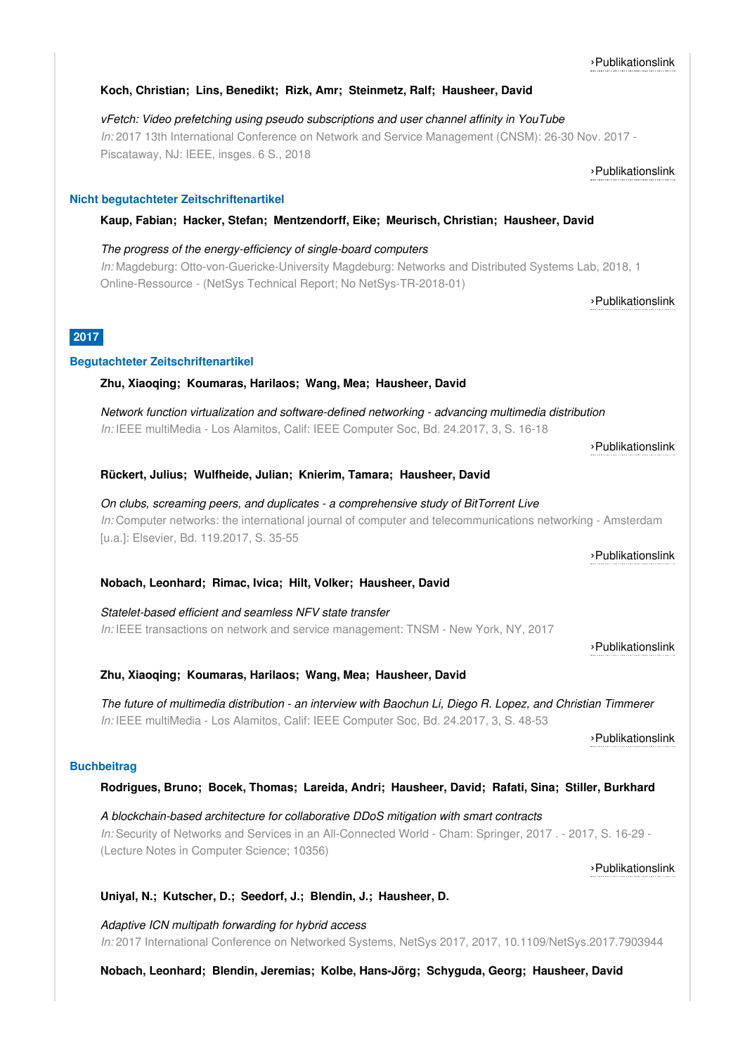# **Koch, Christian; Lins, Benedikt; Rizk, Amr; Steinmetz, Ralf; Hausheer, David**

*vFetch: Video prefetching using pseudo subscriptions and user channel affinity in YouTube In:* 2017 13th International Conference on Network and Service Management (CNSM): 26-30 Nov. 2017 - Piscataway, NJ: IEEE, insges. 6 S., 2018

# **Nicht begutachteter Zeitschriftenartikel**

# **Kaup, Fabian; Hacker, Stefan; Mentzendorff, Eike; Meurisch, Christian; Hausheer, David**

*The progress of the energy-efficiency of single-board computers In:* Magdeburg: Otto-von-Guericke-University Magdeburg: Networks and Distributed Systems Lab, 2018, 1 Online-Ressource - (NetSys Technical Report; No NetSys-TR-2018-01)

**2017**

# **Begutachteter Zeitschriftenartikel**

# **Zhu, Xiaoqing; Koumaras, Harilaos; Wang, Mea; Hausheer, David**

*Network function virtualization and software-defined networking - advancing multimedia distribution In:* IEEE multiMedia - Los Alamitos, Calif: IEEE Computer Soc, Bd. 24.2017, 3, S. 16-18

›[Publikationslink](http://dx.doi.org/10.1109/MMUL.2017.3051518)

#### **Rückert, Julius; Wulfheide, Julian; Knierim, Tamara; Hausheer, David**

*On clubs, screaming peers, and duplicates - a comprehensive study of BitTorrent Live In:* Computer networks: the international journal of computer and telecommunications networking - Amsterdam [u.a.]: Elsevier, Bd. 119.2017, S. 35-55

### **Nobach, Leonhard; Rimac, Ivica; Hilt, Volker; Hausheer, David**

*Statelet-based efficient and seamless NFV state transfer In:* IEEE transactions on network and service management: TNSM - New York, NY, 2017

**Zhu, Xiaoqing; Koumaras, Harilaos; Wang, Mea; Hausheer, David**

The future of multimedia distribution - an interview with Baochun Li, Diego R. Lopez, and Christian Timmerer *In:* IEEE multiMedia - Los Alamitos, Calif: IEEE Computer Soc, Bd. 24.2017, 3, S. 48-53

### **Buchbeitrag**

# **Rodrigues, Bruno; Bocek, Thomas; Lareida, Andri; Hausheer, David; Rafati, Sina; Stiller, Burkhard**

*A blockchain-based architecture for collaborative DDoS mitigation with smart contracts In:* Security of Networks and Services in an All-Connected World - Cham: Springer, 2017 . - 2017, S. 16-29 - (Lecture Notes in Computer Science; 10356)

# **Uniyal, N.; Kutscher, D.; Seedorf, J.; Blendin, J.; Hausheer, D.**

*Adaptive ICN multipath forwarding for hybrid access In:* 2017 International Conference on Networked Systems, NetSys 2017, 2017, 10.1109/NetSys.2017.7903944

**Nobach, Leonhard; Blendin, Jeremias; Kolbe, Hans-Jörg; Schyguda, Georg; Hausheer, David**

### ›[Publikationslink](http://dx.doi.org/10.23919/CNSM.2017.8256011)

›[Publikationslink](http://www.netsys.ovgu.de/netsys_media/publications/NetSys_TR_2018_01.pdf)

›[Publikationslink](http://dx.doi.org/10.1016/j.comnet.2017.03.007)

›[Publikationslink](http://dx.doi.org/10.1109/TNSM.2017.2760107)

›[Publikationslink](http://dx.doi.org/10.1007/978-3-319-60774-0_2)

›[Publikationslink](http://dx.doi.org/10.1109/MMUL.2017.3051511)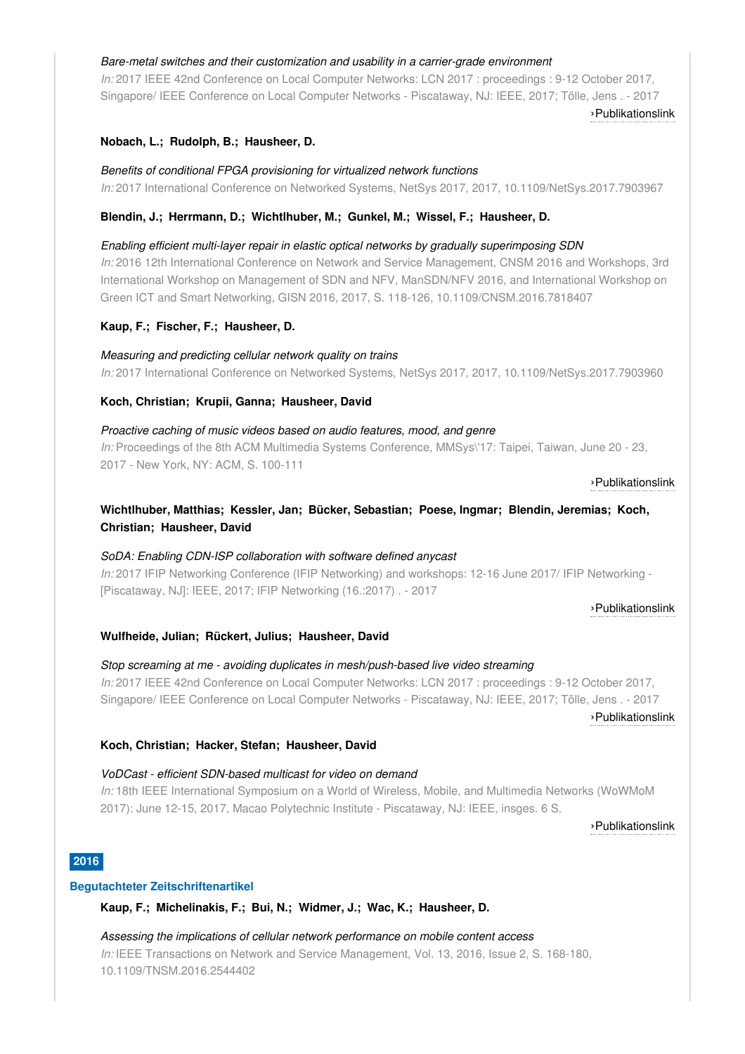#### *Bare-metal switches and their customization and usability in a carrier-grade environment*

*In:* 2017 IEEE 42nd Conference on Local Computer Networks: LCN 2017 : proceedings : 9-12 October 2017, Singapore/ IEEE Conference on Local Computer Networks - Piscataway, NJ: IEEE, 2017; Tölle, Jens . - 2017

›[Publikationslink](http://dx.doi.org/10.1109/LCN.2017.104)

### **Nobach, L.; Rudolph, B.; Hausheer, D.**

*Benefits of conditional FPGA provisioning for virtualized network functions In:* 2017 International Conference on Networked Systems, NetSys 2017, 2017, 10.1109/NetSys.2017.7903967

# **Blendin, J.; Herrmann, D.; Wichtlhuber, M.; Gunkel, M.; Wissel, F.; Hausheer, D.**

#### *Enabling efficient multi-layer repair in elastic optical networks by gradually superimposing SDN*

*In:* 2016 12th International Conference on Network and Service Management, CNSM 2016 and Workshops, 3rd International Workshop on Management of SDN and NFV, ManSDN/NFV 2016, and International Workshop on Green ICT and Smart Networking, GISN 2016, 2017, S. 118-126, 10.1109/CNSM.2016.7818407

### **Kaup, F.; Fischer, F.; Hausheer, D.**

#### *Measuring and predicting cellular network quality on trains*

*In:* 2017 International Conference on Networked Systems, NetSys 2017, 2017, 10.1109/NetSys.2017.7903960

#### **Koch, Christian; Krupii, Ganna; Hausheer, David**

#### *Proactive caching of music videos based on audio features, mood, and genre*

*In:* Proceedings of the 8th ACM Multimedia Systems Conference, MMSys\'17: Taipei, Taiwan, June 20 - 23, 2017 - New York, NY: ACM, S. 100-111

#### ›[Publikationslink](http://dx.doi.org/10.1145/3083187.3083197)

# **Wichtlhuber, Matthias; Kessler, Jan; Bücker, Sebastian; Poese, Ingmar; Blendin, Jeremias; Koch, Christian; Hausheer, David**

#### *SoDA: Enabling CDN-ISP collaboration with software defined anycast*

*In:* 2017 IFIP Networking Conference (IFIP Networking) and workshops: 12-16 June 2017/ IFIP Networking - [Piscataway, NJ]: IEEE, 2017; IFIP Networking (16.:2017) . - 2017

#### ›[Publikationslink](http://dx.doi.org/10.23919/IFIPNetworking.2017.8264847)

#### **Wulfheide, Julian; Rückert, Julius; Hausheer, David**

*Stop screaming at me - avoiding duplicates in mesh/push-based live video streaming In:* 2017 IEEE 42nd Conference on Local Computer Networks: LCN 2017 : proceedings : 9-12 October 2017, Singapore/ IEEE Conference on Local Computer Networks - Piscataway, NJ: IEEE, 2017; Tölle, Jens . - 2017

›[Publikationslink](http://dx.doi.org/10.1109/lcn.2017.106)

# **Koch, Christian; Hacker, Stefan; Hausheer, David**

# *VoDCast - efficient SDN-based multicast for video on demand*

*In:* 18th IEEE International Symposium on a World of Wireless, Mobile, and Multimedia Networks (WoWMoM 2017): June 12-15, 2017, Macao Polytechnic Institute - Piscataway, NJ: IEEE, insges. 6 S.

›[Publikationslink](http://dx.doi.org/10.1109/WoWMoM.2017.7974319)

### **2016**

#### **Begutachteter Zeitschriftenartikel**

**Kaup, F.; Michelinakis, F.; Bui, N.; Widmer, J.; Wac, K.; Hausheer, D.**

#### *Assessing the implications of cellular network performance on mobile content access*

*In:* IEEE Transactions on Network and Service Management, Vol. 13, 2016, Issue 2, S. 168-180, 10.1109/TNSM.2016.2544402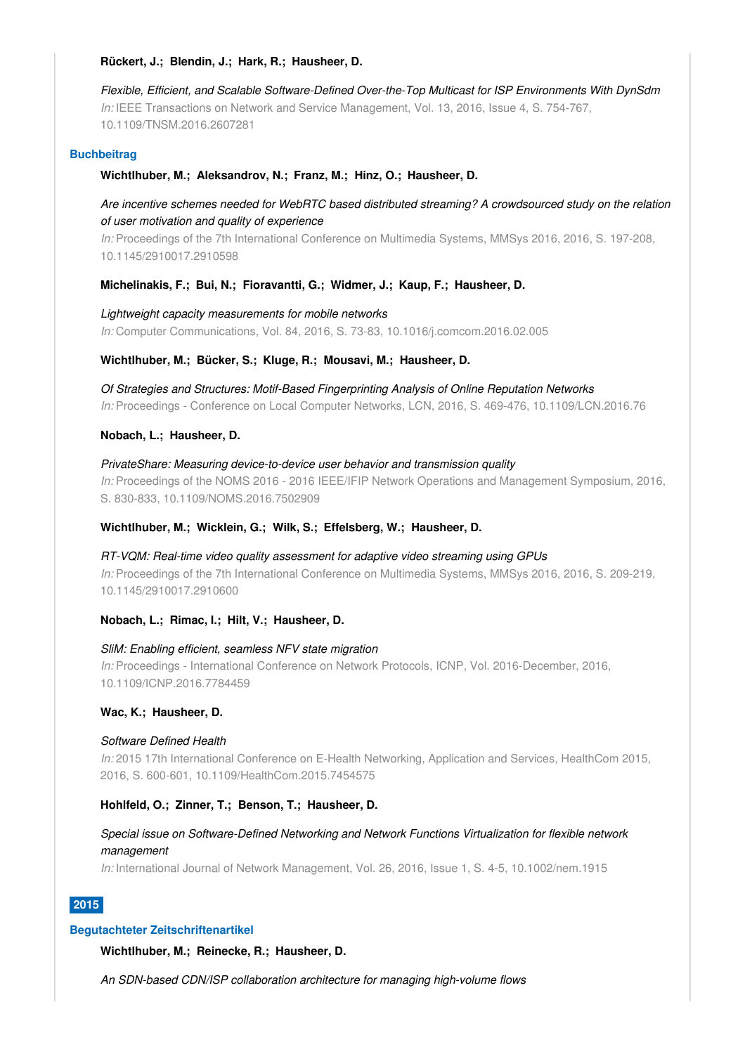#### **Rückert, J.; Blendin, J.; Hark, R.; Hausheer, D.**

*Flexible, Efficient, and Scalable Software-Defined Over-the-Top Multicast for ISP Environments With DynSdm In:* IEEE Transactions on Network and Service Management, Vol. 13, 2016, Issue 4, S. 754-767, 10.1109/TNSM.2016.2607281

#### **Buchbeitrag**

#### **Wichtlhuber, M.; Aleksandrov, N.; Franz, M.; Hinz, O.; Hausheer, D.**

*Are incentive schemes needed for WebRTC based distributed streaming? A crowdsourced study on the relation of user motivation and quality of experience*

*In:* Proceedings of the 7th International Conference on Multimedia Systems, MMSys 2016, 2016, S. 197-208, 10.1145/2910017.2910598

#### **Michelinakis, F.; Bui, N.; Fioravantti, G.; Widmer, J.; Kaup, F.; Hausheer, D.**

*Lightweight capacity measurements for mobile networks In:* Computer Communications, Vol. 84, 2016, S. 73-83, 10.1016/j.comcom.2016.02.005

#### **Wichtlhuber, M.; Bücker, S.; Kluge, R.; Mousavi, M.; Hausheer, D.**

*Of Strategies and Structures: Motif-Based Fingerprinting Analysis of Online Reputation Networks In:* Proceedings - Conference on Local Computer Networks, LCN, 2016, S. 469-476, 10.1109/LCN.2016.76

#### **Nobach, L.; Hausheer, D.**

*PrivateShare: Measuring device-to-device user behavior and transmission quality In:* Proceedings of the NOMS 2016 - 2016 IEEE/IFIP Network Operations and Management Symposium, 2016, S. 830-833, 10.1109/NOMS.2016.7502909

# **Wichtlhuber, M.; Wicklein, G.; Wilk, S.; Effelsberg, W.; Hausheer, D.**

*RT-VQM: Real-time video quality assessment for adaptive video streaming using GPUs In:* Proceedings of the 7th International Conference on Multimedia Systems, MMSys 2016, 2016, S. 209-219, 10.1145/2910017.2910600

#### **Nobach, L.; Rimac, I.; Hilt, V.; Hausheer, D.**

#### *SliM: Enabling efficient, seamless NFV state migration*

*In:* Proceedings - International Conference on Network Protocols, ICNP, Vol. 2016-December, 2016, 10.1109/ICNP.2016.7784459

#### **Wac, K.; Hausheer, D.**

#### *Software Defined Health*

*In:* 2015 17th International Conference on E-Health Networking, Application and Services, HealthCom 2015, 2016, S. 600-601, 10.1109/HealthCom.2015.7454575

#### **Hohlfeld, O.; Zinner, T.; Benson, T.; Hausheer, D.**

# *Special issue on Software-Defined Networking and Network Functions Virtualization for flexible network management*

*In:* International Journal of Network Management, Vol. 26, 2016, Issue 1, S. 4-5, 10.1002/nem.1915

# **2015**

#### **Begutachteter Zeitschriftenartikel**

**Wichtlhuber, M.; Reinecke, R.; Hausheer, D.**

*An SDN-based CDN/ISP collaboration architecture for managing high-volume flows*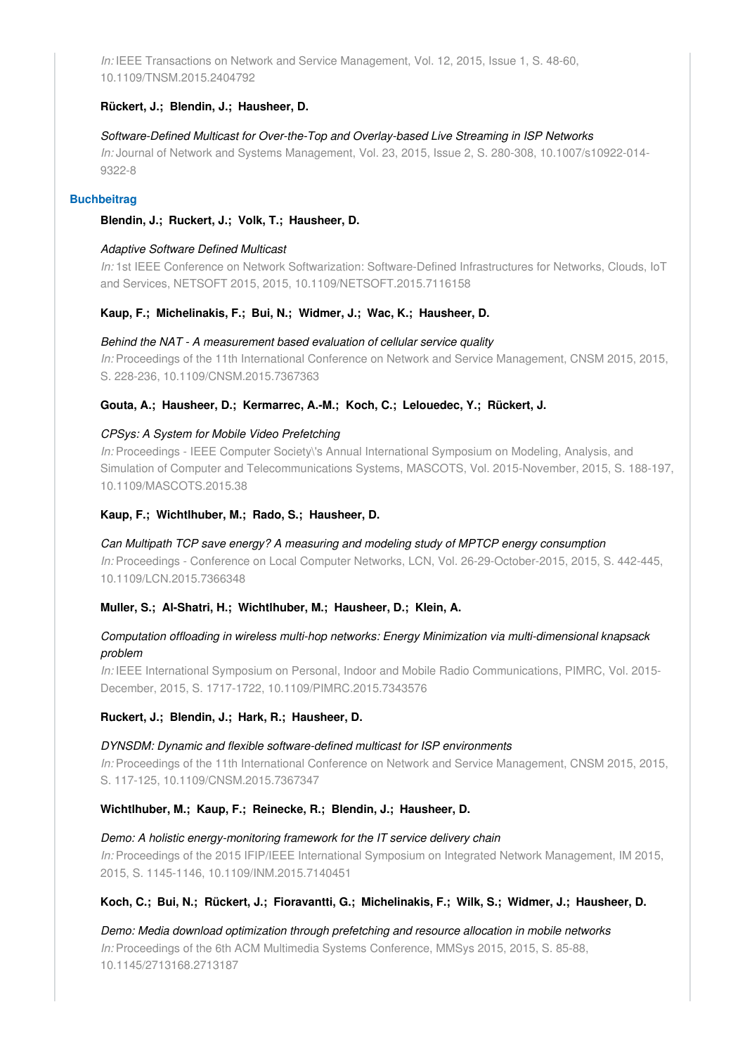*In:* IEEE Transactions on Network and Service Management, Vol. 12, 2015, Issue 1, S. 48-60, 10.1109/TNSM.2015.2404792

#### **Rückert, J.; Blendin, J.; Hausheer, D.**

*Software-Defined Multicast for Over-the-Top and Overlay-based Live Streaming in ISP Networks In:* Journal of Network and Systems Management, Vol. 23, 2015, Issue 2, S. 280-308, 10.1007/s10922-014- 9322-8

#### **Buchbeitrag**

#### **Blendin, J.; Ruckert, J.; Volk, T.; Hausheer, D.**

#### *Adaptive Software Defined Multicast*

*In:* 1st IEEE Conference on Network Softwarization: Software-Defined Infrastructures for Networks, Clouds, IoT and Services, NETSOFT 2015, 2015, 10.1109/NETSOFT.2015.7116158

#### **Kaup, F.; Michelinakis, F.; Bui, N.; Widmer, J.; Wac, K.; Hausheer, D.**

#### *Behind the NAT - A measurement based evaluation of cellular service quality*

*In:* Proceedings of the 11th International Conference on Network and Service Management, CNSM 2015, 2015, S. 228-236, 10.1109/CNSM.2015.7367363

### **Gouta, A.; Hausheer, D.; Kermarrec, A.-M.; Koch, C.; Lelouedec, Y.; Rückert, J.**

#### *CPSys: A System for Mobile Video Prefetching*

*In:* Proceedings - IEEE Computer Society\'s Annual International Symposium on Modeling, Analysis, and Simulation of Computer and Telecommunications Systems, MASCOTS, Vol. 2015-November, 2015, S. 188-197, 10.1109/MASCOTS.2015.38

#### **Kaup, F.; Wichtlhuber, M.; Rado, S.; Hausheer, D.**

# *Can Multipath TCP save energy? A measuring and modeling study of MPTCP energy consumption*

*In:* Proceedings - Conference on Local Computer Networks, LCN, Vol. 26-29-October-2015, 2015, S. 442-445, 10.1109/LCN.2015.7366348

#### **Muller, S.; Al-Shatri, H.; Wichtlhuber, M.; Hausheer, D.; Klein, A.**

# *Computation offloading in wireless multi-hop networks: Energy Minimization via multi-dimensional knapsack problem*

*In:* IEEE International Symposium on Personal, Indoor and Mobile Radio Communications, PIMRC, Vol. 2015- December, 2015, S. 1717-1722, 10.1109/PIMRC.2015.7343576

#### **Ruckert, J.; Blendin, J.; Hark, R.; Hausheer, D.**

#### *DYNSDM: Dynamic and flexible software-defined multicast for ISP environments*

*In:* Proceedings of the 11th International Conference on Network and Service Management, CNSM 2015, 2015, S. 117-125, 10.1109/CNSM.2015.7367347

#### **Wichtlhuber, M.; Kaup, F.; Reinecke, R.; Blendin, J.; Hausheer, D.**

#### *Demo: A holistic energy-monitoring framework for the IT service delivery chain*

*In:* Proceedings of the 2015 IFIP/IEEE International Symposium on Integrated Network Management, IM 2015, 2015, S. 1145-1146, 10.1109/INM.2015.7140451

#### **Koch, C.; Bui, N.; Rückert, J.; Fioravantti, G.; Michelinakis, F.; Wilk, S.; Widmer, J.; Hausheer, D.**

*Demo: Media download optimization through prefetching and resource allocation in mobile networks In:* Proceedings of the 6th ACM Multimedia Systems Conference, MMSys 2015, 2015, S. 85-88, 10.1145/2713168.2713187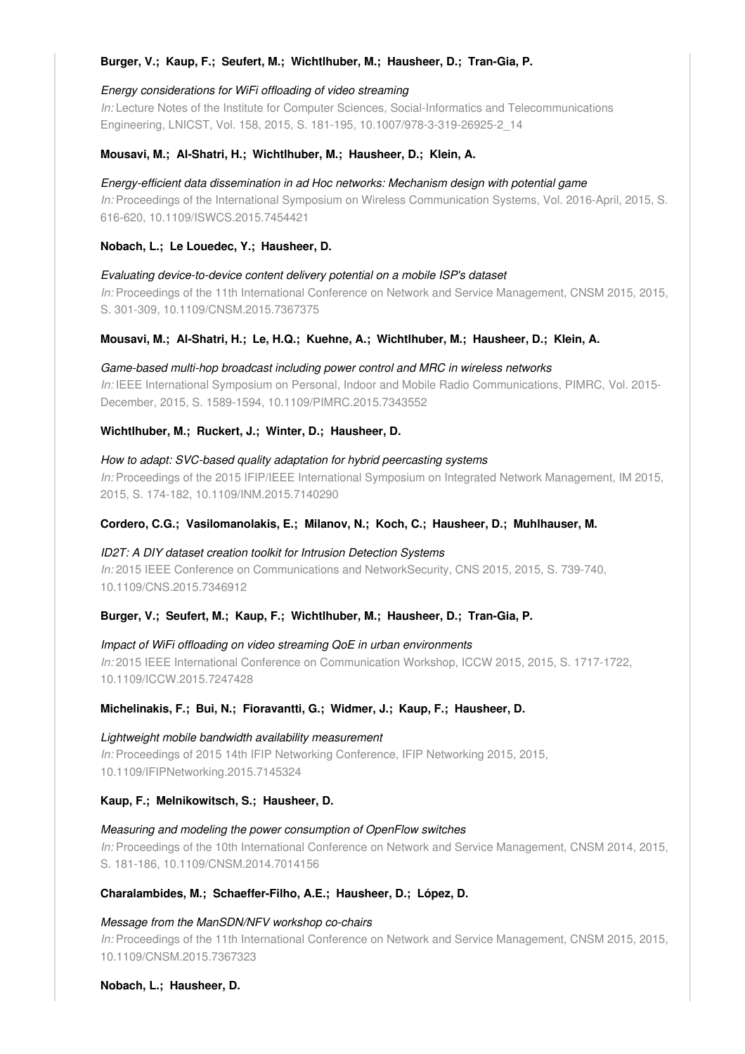### **Burger, V.; Kaup, F.; Seufert, M.; Wichtlhuber, M.; Hausheer, D.; Tran-Gia, P.**

#### *Energy considerations for WiFi offloading of video streaming*

*In:* Lecture Notes of the Institute for Computer Sciences, Social-Informatics and Telecommunications Engineering, LNICST, Vol. 158, 2015, S. 181-195, 10.1007/978-3-319-26925-2\_14

#### **Mousavi, M.; Al-Shatri, H.; Wichtlhuber, M.; Hausheer, D.; Klein, A.**

#### *Energy-efficient data dissemination in ad Hoc networks: Mechanism design with potential game*

*In:* Proceedings of the International Symposium on Wireless Communication Systems, Vol. 2016-April, 2015, S. 616-620, 10.1109/ISWCS.2015.7454421

#### **Nobach, L.; Le Louedec, Y.; Hausheer, D.**

*Evaluating device-to-device content delivery potential on a mobile ISP's dataset In:* Proceedings of the 11th International Conference on Network and Service Management, CNSM 2015, 2015, S. 301-309, 10.1109/CNSM.2015.7367375

#### **Mousavi, M.; Al-Shatri, H.; Le, H.Q.; Kuehne, A.; Wichtlhuber, M.; Hausheer, D.; Klein, A.**

# *Game-based multi-hop broadcast including power control and MRC in wireless networks*

*In:* IEEE International Symposium on Personal, Indoor and Mobile Radio Communications, PIMRC, Vol. 2015- December, 2015, S. 1589-1594, 10.1109/PIMRC.2015.7343552

#### **Wichtlhuber, M.; Ruckert, J.; Winter, D.; Hausheer, D.**

### *How to adapt: SVC-based quality adaptation for hybrid peercasting systems*

*In:* Proceedings of the 2015 IFIP/IEEE International Symposium on Integrated Network Management, IM 2015, 2015, S. 174-182, 10.1109/INM.2015.7140290

#### **Cordero, C.G.; Vasilomanolakis, E.; Milanov, N.; Koch, C.; Hausheer, D.; Muhlhauser, M.**

#### *ID2T: A DIY dataset creation toolkit for Intrusion Detection Systems*

*In:* 2015 IEEE Conference on Communications and NetworkSecurity, CNS 2015, 2015, S. 739-740, 10.1109/CNS.2015.7346912

#### **Burger, V.; Seufert, M.; Kaup, F.; Wichtlhuber, M.; Hausheer, D.; Tran-Gia, P.**

# *Impact of WiFi offloading on video streaming QoE in urban environments In:* 2015 IEEE International Conference on Communication Workshop, ICCW 2015, 2015, S. 1717-1722, 10.1109/ICCW.2015.7247428

#### **Michelinakis, F.; Bui, N.; Fioravantti, G.; Widmer, J.; Kaup, F.; Hausheer, D.**

*Lightweight mobile bandwidth availability measurement In:* Proceedings of 2015 14th IFIP Networking Conference, IFIP Networking 2015, 2015, 10.1109/IFIPNetworking.2015.7145324

### **Kaup, F.; Melnikowitsch, S.; Hausheer, D.**

#### *Measuring and modeling the power consumption of OpenFlow switches*

*In:* Proceedings of the 10th International Conference on Network and Service Management, CNSM 2014, 2015, S. 181-186, 10.1109/CNSM.2014.7014156

#### **Charalambides, M.; Schaeffer-Filho, A.E.; Hausheer, D.; López, D.**

#### *Message from the ManSDN/NFV workshop co-chairs*

*In:* Proceedings of the 11th International Conference on Network and Service Management, CNSM 2015, 2015, 10.1109/CNSM.2015.7367323

#### **Nobach, L.; Hausheer, D.**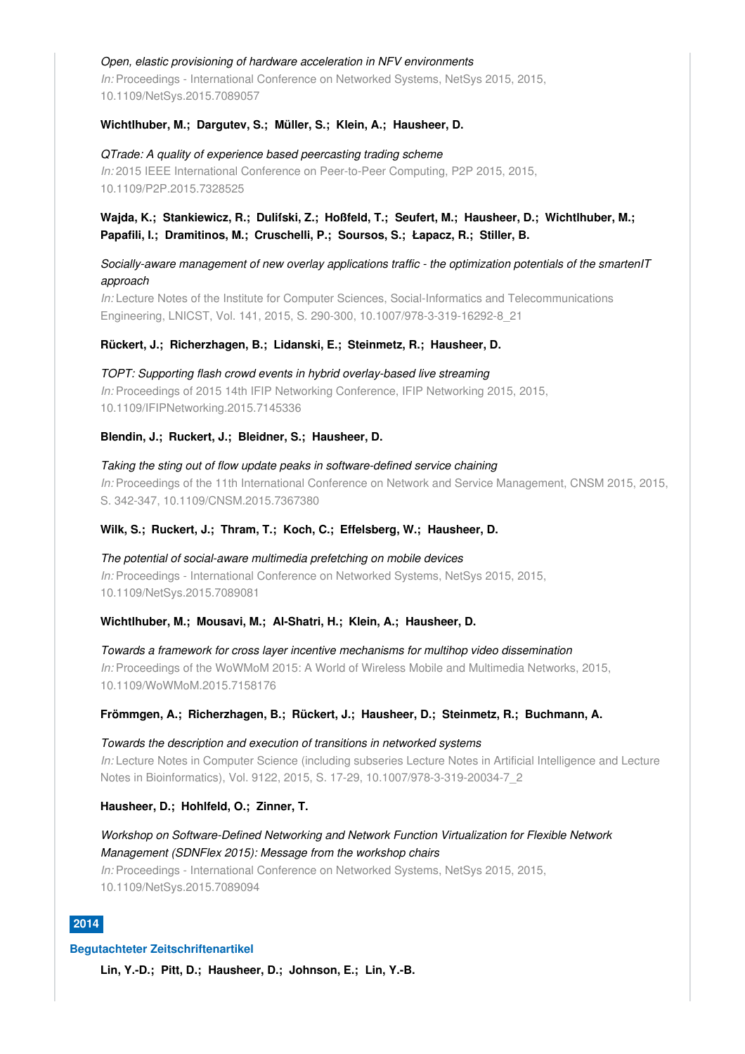#### *Open, elastic provisioning of hardware acceleration in NFV environments*

*In:* Proceedings - International Conference on Networked Systems, NetSys 2015, 2015, 10.1109/NetSys.2015.7089057

### **Wichtlhuber, M.; Dargutev, S.; Müller, S.; Klein, A.; Hausheer, D.**

*QTrade: A quality of experience based peercasting trading scheme In:* 2015 IEEE International Conference on Peer-to-Peer Computing, P2P 2015, 2015, 10.1109/P2P.2015.7328525

# **Wajda, K.; Stankiewicz, R.; Duliſski, Z.; Hoßfeld, T.; Seufert, M.; Hausheer, D.; Wichtlhuber, M.; Papafili, I.; Dramitinos, M.; Cruschelli, P.; Soursos, S.; Łapacz, R.; Stiller, B.**

*Socially-aware management of new overlay applications traffic - the optimization potentials of the smartenIT approach*

*In:* Lecture Notes of the Institute for Computer Sciences, Social-Informatics and Telecommunications Engineering, LNICST, Vol. 141, 2015, S. 290-300, 10.1007/978-3-319-16292-8\_21

#### **Rückert, J.; Richerzhagen, B.; Lidanski, E.; Steinmetz, R.; Hausheer, D.**

*TOPT: Supporting flash crowd events in hybrid overlay-based live streaming In:* Proceedings of 2015 14th IFIP Networking Conference, IFIP Networking 2015, 2015, 10.1109/IFIPNetworking.2015.7145336

#### **Blendin, J.; Ruckert, J.; Bleidner, S.; Hausheer, D.**

*Taking the sting out of flow update peaks in software-defined service chaining In:* Proceedings of the 11th International Conference on Network and Service Management, CNSM 2015, 2015, S. 342-347, 10.1109/CNSM.2015.7367380

#### **Wilk, S.; Ruckert, J.; Thram, T.; Koch, C.; Effelsberg, W.; Hausheer, D.**

*The potential of social-aware multimedia prefetching on mobile devices In:* Proceedings - International Conference on Networked Systems, NetSys 2015, 2015, 10.1109/NetSys.2015.7089081

#### **Wichtlhuber, M.; Mousavi, M.; Al-Shatri, H.; Klein, A.; Hausheer, D.**

*Towards a framework for cross layer incentive mechanisms for multihop video dissemination In:* Proceedings of the WoWMoM 2015: A World of Wireless Mobile and Multimedia Networks, 2015, 10.1109/WoWMoM.2015.7158176

**Frömmgen, A.; Richerzhagen, B.; Rückert, J.; Hausheer, D.; Steinmetz, R.; Buchmann, A.**

*Towards the description and execution of transitions in networked systems In:* Lecture Notes in Computer Science (including subseries Lecture Notes in Artificial Intelligence and Lecture Notes in Bioinformatics), Vol. 9122, 2015, S. 17-29, 10.1007/978-3-319-20034-7\_2

#### **Hausheer, D.; Hohlfeld, O.; Zinner, T.**

*Workshop on Software-Defined Networking and Network Function Virtualization for Flexible Network Management (SDNFlex 2015): Message from the workshop chairs In:* Proceedings - International Conference on Networked Systems, NetSys 2015, 2015, 10.1109/NetSys.2015.7089094

# **2014**

#### **Begutachteter Zeitschriftenartikel**

**Lin, Y.-D.; Pitt, D.; Hausheer, D.; Johnson, E.; Lin, Y.-B.**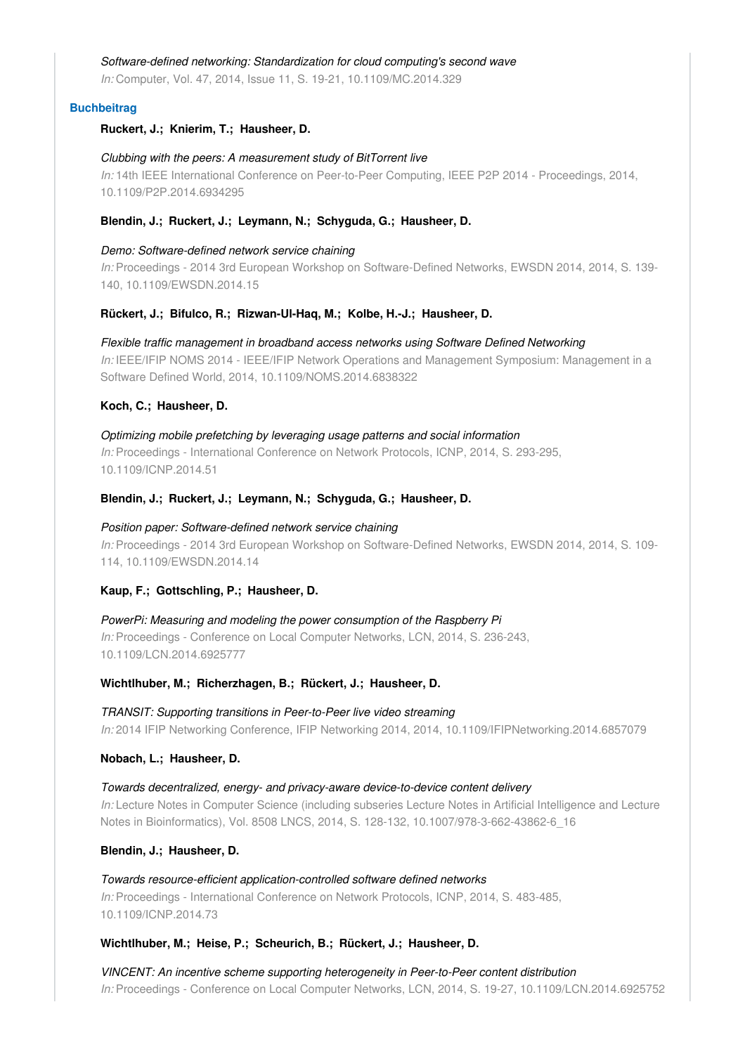#### *Software-defined networking: Standardization for cloud computing's second wave*

*In:* Computer, Vol. 47, 2014, Issue 11, S. 19-21, 10.1109/MC.2014.329

#### **Buchbeitrag**

#### **Ruckert, J.; Knierim, T.; Hausheer, D.**

#### *Clubbing with the peers: A measurement study of BitTorrent live*

*In:* 14th IEEE International Conference on Peer-to-Peer Computing, IEEE P2P 2014 - Proceedings, 2014, 10.1109/P2P.2014.6934295

#### **Blendin, J.; Ruckert, J.; Leymann, N.; Schyguda, G.; Hausheer, D.**

#### *Demo: Software-defined network service chaining*

*In:* Proceedings - 2014 3rd European Workshop on Software-Defined Networks, EWSDN 2014, 2014, S. 139- 140, 10.1109/EWSDN.2014.15

#### **Rückert, J.; Bifulco, R.; Rizwan-Ul-Haq, M.; Kolbe, H.-J.; Hausheer, D.**

# *Flexible traffic management in broadband access networks using Software Defined Networking*

*In:* IEEE/IFIP NOMS 2014 - IEEE/IFIP Network Operations and Management Symposium: Management in a Software Defined World, 2014, 10.1109/NOMS.2014.6838322

## **Koch, C.; Hausheer, D.**

*Optimizing mobile prefetching by leveraging usage patterns and social information In:* Proceedings - International Conference on Network Protocols, ICNP, 2014, S. 293-295, 10.1109/ICNP.2014.51

### **Blendin, J.; Ruckert, J.; Leymann, N.; Schyguda, G.; Hausheer, D.**

#### *Position paper: Software-defined network service chaining*

*In:* Proceedings - 2014 3rd European Workshop on Software-Defined Networks, EWSDN 2014, 2014, S. 109- 114, 10.1109/EWSDN.2014.14

#### **Kaup, F.; Gottschling, P.; Hausheer, D.**

*PowerPi: Measuring and modeling the power consumption of the Raspberry Pi In:* Proceedings - Conference on Local Computer Networks, LCN, 2014, S. 236-243, 10.1109/LCN.2014.6925777

#### **Wichtlhuber, M.; Richerzhagen, B.; Rückert, J.; Hausheer, D.**

# *TRANSIT: Supporting transitions in Peer-to-Peer live video streaming In:* 2014 IFIP Networking Conference, IFIP Networking 2014, 2014, 10.1109/IFIPNetworking.2014.6857079

#### **Nobach, L.; Hausheer, D.**

*Towards decentralized, energy- and privacy-aware device-to-device content delivery In:* Lecture Notes in Computer Science (including subseries Lecture Notes in Artificial Intelligence and Lecture Notes in Bioinformatics), Vol. 8508 LNCS, 2014, S. 128-132, 10.1007/978-3-662-43862-6\_16

#### **Blendin, J.; Hausheer, D.**

*Towards resource-efficient application-controlled software defined networks In:* Proceedings - International Conference on Network Protocols, ICNP, 2014, S. 483-485, 10.1109/ICNP.2014.73

# **Wichtlhuber, M.; Heise, P.; Scheurich, B.; Rückert, J.; Hausheer, D.**

*VINCENT: An incentive scheme supporting heterogeneity in Peer-to-Peer content distribution In:* Proceedings - Conference on Local Computer Networks, LCN, 2014, S. 19-27, 10.1109/LCN.2014.6925752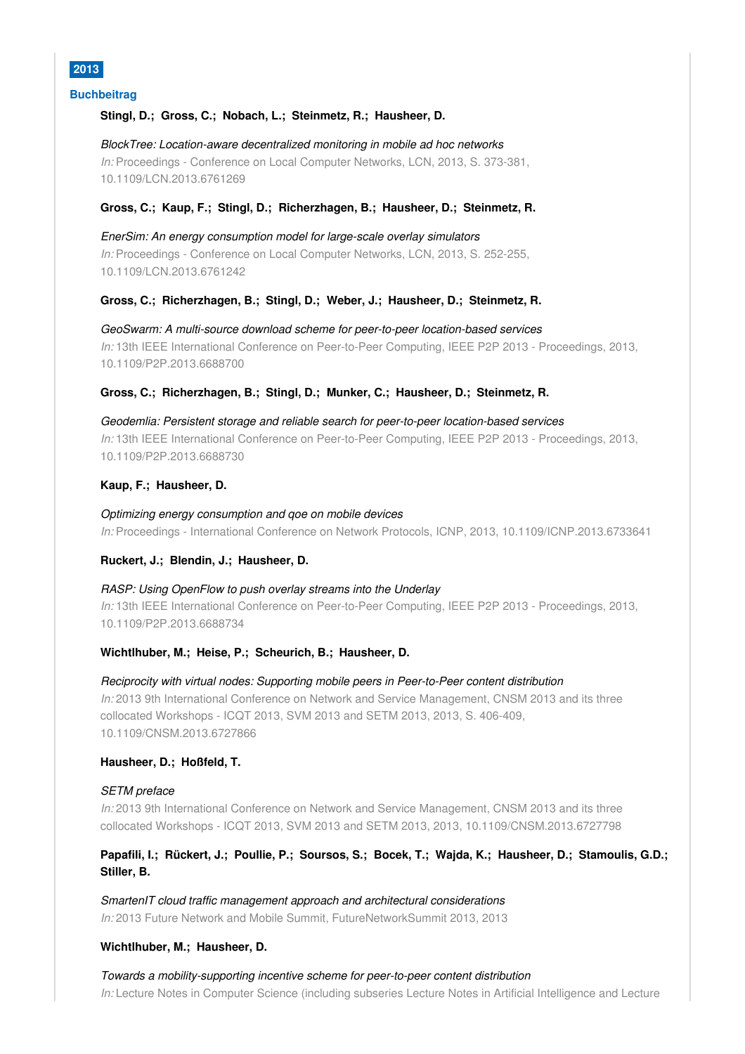

#### **Buchbeitrag**

#### **Stingl, D.; Gross, C.; Nobach, L.; Steinmetz, R.; Hausheer, D.**

#### *BlockTree: Location-aware decentralized monitoring in mobile ad hoc networks*

*In:* Proceedings - Conference on Local Computer Networks, LCN, 2013, S. 373-381, 10.1109/LCN.2013.6761269

#### **Gross, C.; Kaup, F.; Stingl, D.; Richerzhagen, B.; Hausheer, D.; Steinmetz, R.**

*EnerSim: An energy consumption model for large-scale overlay simulators In:* Proceedings - Conference on Local Computer Networks, LCN, 2013, S. 252-255, 10.1109/LCN.2013.6761242

#### **Gross, C.; Richerzhagen, B.; Stingl, D.; Weber, J.; Hausheer, D.; Steinmetz, R.**

*GeoSwarm: A multi-source download scheme for peer-to-peer location-based services In:* 13th IEEE International Conference on Peer-to-Peer Computing, IEEE P2P 2013 - Proceedings, 2013, 10.1109/P2P.2013.6688700

#### **Gross, C.; Richerzhagen, B.; Stingl, D.; Munker, C.; Hausheer, D.; Steinmetz, R.**

*Geodemlia: Persistent storage and reliable search for peer-to-peer location-based services In:* 13th IEEE International Conference on Peer-to-Peer Computing, IEEE P2P 2013 - Proceedings, 2013, 10.1109/P2P.2013.6688730

#### **Kaup, F.; Hausheer, D.**

*Optimizing energy consumption and qoe on mobile devices In:* Proceedings - International Conference on Network Protocols, ICNP, 2013, 10.1109/ICNP.2013.6733641

#### **Ruckert, J.; Blendin, J.; Hausheer, D.**

# *RASP: Using OpenFlow to push overlay streams into the Underlay In:* 13th IEEE International Conference on Peer-to-Peer Computing, IEEE P2P 2013 - Proceedings, 2013, 10.1109/P2P.2013.6688734

#### **Wichtlhuber, M.; Heise, P.; Scheurich, B.; Hausheer, D.**

*Reciprocity with virtual nodes: Supporting mobile peers in Peer-to-Peer content distribution In:* 2013 9th International Conference on Network and Service Management, CNSM 2013 and its three collocated Workshops - ICQT 2013, SVM 2013 and SETM 2013, 2013, S. 406-409, 10.1109/CNSM.2013.6727866

#### **Hausheer, D.; Hoßfeld, T.**

#### *SETM preface*

*In:* 2013 9th International Conference on Network and Service Management, CNSM 2013 and its three collocated Workshops - ICQT 2013, SVM 2013 and SETM 2013, 2013, 10.1109/CNSM.2013.6727798

# **Papafili, I.; Rückert, J.; Poullie, P.; Soursos, S.; Bocek, T.; Wajda, K.; Hausheer, D.; Stamoulis, G.D.; Stiller, B.**

*SmartenIT cloud traffic management approach and architectural considerations In:* 2013 Future Network and Mobile Summit, FutureNetworkSummit 2013, 2013

#### **Wichtlhuber, M.; Hausheer, D.**

*Towards a mobility-supporting incentive scheme for peer-to-peer content distribution In:* Lecture Notes in Computer Science (including subseries Lecture Notes in Artificial Intelligence and Lecture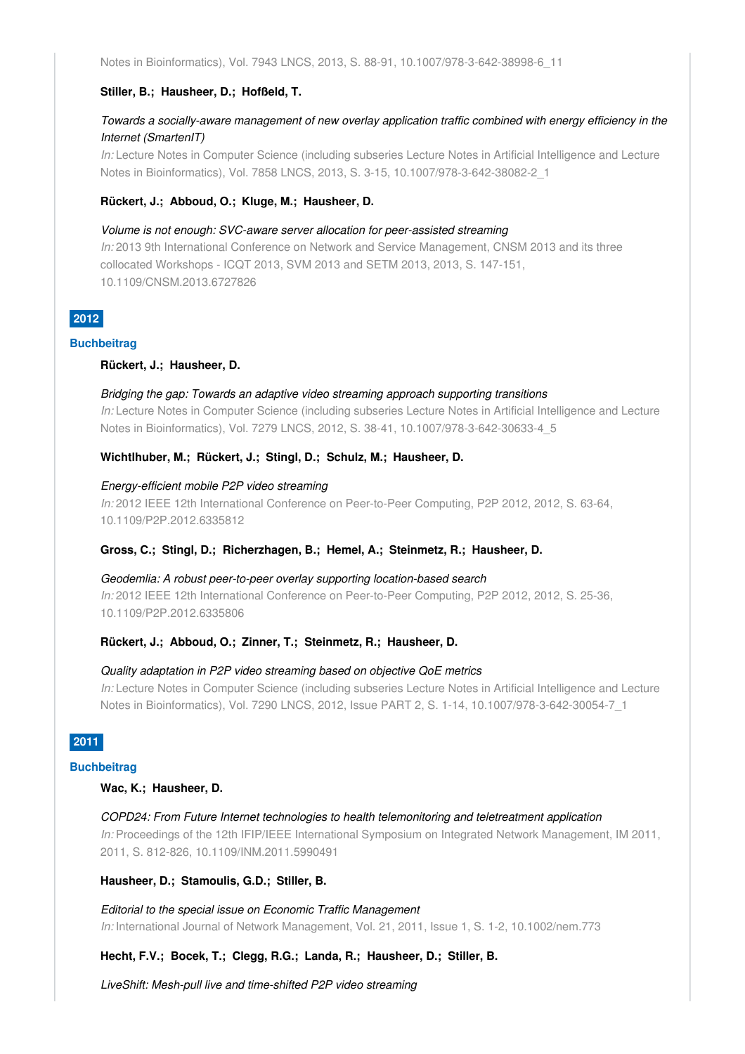Notes in Bioinformatics), Vol. 7943 LNCS, 2013, S. 88-91, 10.1007/978-3-642-38998-6\_11

#### **Stiller, B.; Hausheer, D.; Hofßeld, T.**

# *Towards a socially-aware management of new overlay application traffic combined with energy efficiency in the Internet (SmartenIT)*

*In:* Lecture Notes in Computer Science (including subseries Lecture Notes in Artificial Intelligence and Lecture Notes in Bioinformatics), Vol. 7858 LNCS, 2013, S. 3-15, 10.1007/978-3-642-38082-2\_1

#### **Rückert, J.; Abboud, O.; Kluge, M.; Hausheer, D.**

#### *Volume is not enough: SVC-aware server allocation for peer-assisted streaming*

*In:* 2013 9th International Conference on Network and Service Management, CNSM 2013 and its three collocated Workshops - ICQT 2013, SVM 2013 and SETM 2013, 2013, S. 147-151, 10.1109/CNSM.2013.6727826

# **2012**

#### **Buchbeitrag**

#### **Rückert, J.; Hausheer, D.**

#### *Bridging the gap: Towards an adaptive video streaming approach supporting transitions*

*In:* Lecture Notes in Computer Science (including subseries Lecture Notes in Artificial Intelligence and Lecture Notes in Bioinformatics), Vol. 7279 LNCS, 2012, S. 38-41, 10.1007/978-3-642-30633-4\_5

### **Wichtlhuber, M.; Rückert, J.; Stingl, D.; Schulz, M.; Hausheer, D.**

#### *Energy-efficient mobile P2P video streaming*

*In:* 2012 IEEE 12th International Conference on Peer-to-Peer Computing, P2P 2012, 2012, S. 63-64, 10.1109/P2P.2012.6335812

#### **Gross, C.; Stingl, D.; Richerzhagen, B.; Hemel, A.; Steinmetz, R.; Hausheer, D.**

# *Geodemlia: A robust peer-to-peer overlay supporting location-based search*

*In:* 2012 IEEE 12th International Conference on Peer-to-Peer Computing, P2P 2012, 2012, S. 25-36, 10.1109/P2P.2012.6335806

#### **Rückert, J.; Abboud, O.; Zinner, T.; Steinmetz, R.; Hausheer, D.**

#### *Quality adaptation in P2P video streaming based on objective QoE metrics*

*In:* Lecture Notes in Computer Science (including subseries Lecture Notes in Artificial Intelligence and Lecture Notes in Bioinformatics), Vol. 7290 LNCS, 2012, Issue PART 2, S. 1-14, 10.1007/978-3-642-30054-7\_1

# **2011**

#### **Buchbeitrag**

#### **Wac, K.; Hausheer, D.**

*COPD24: From Future Internet technologies to health telemonitoring and teletreatment application In:* Proceedings of the 12th IFIP/IEEE International Symposium on Integrated Network Management, IM 2011, 2011, S. 812-826, 10.1109/INM.2011.5990491

#### **Hausheer, D.; Stamoulis, G.D.; Stiller, B.**

*Editorial to the special issue on Economic Traffic Management In:* International Journal of Network Management, Vol. 21, 2011, Issue 1, S. 1-2, 10.1002/nem.773

#### **Hecht, F.V.; Bocek, T.; Clegg, R.G.; Landa, R.; Hausheer, D.; Stiller, B.**

*LiveShift: Mesh-pull live and time-shifted P2P video streaming*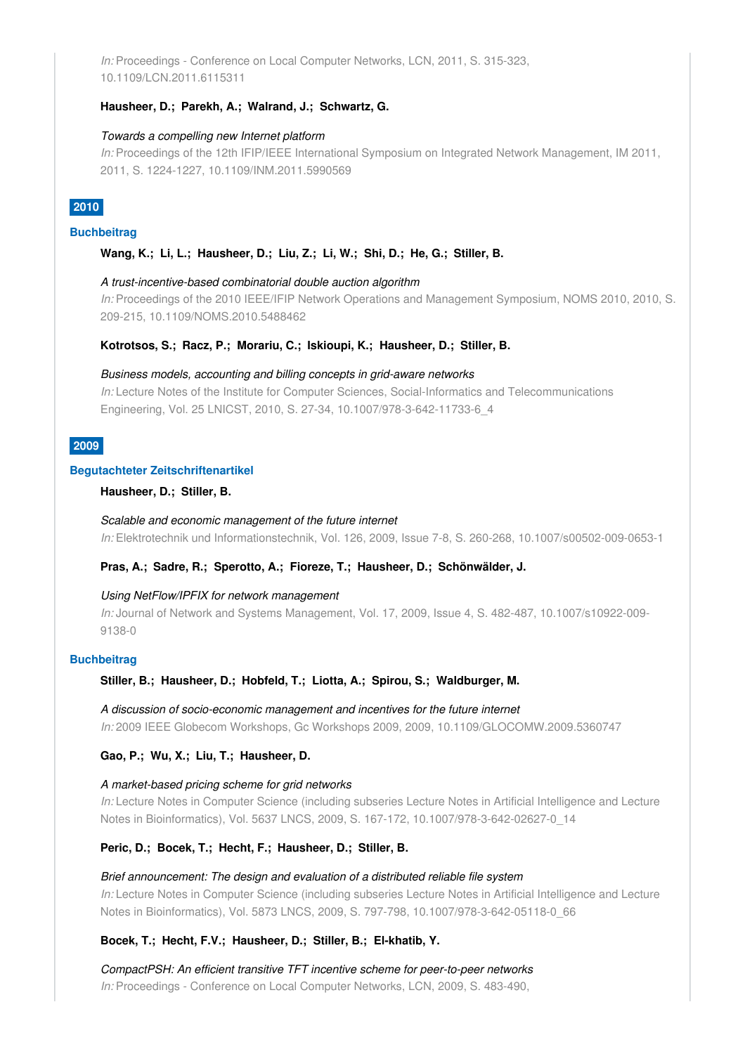*In:* Proceedings - Conference on Local Computer Networks, LCN, 2011, S. 315-323, 10.1109/LCN.2011.6115311

### **Hausheer, D.; Parekh, A.; Walrand, J.; Schwartz, G.**

#### *Towards a compelling new Internet platform*

*In:* Proceedings of the 12th IFIP/IEEE International Symposium on Integrated Network Management, IM 2011, 2011, S. 1224-1227, 10.1109/INM.2011.5990569

# **2010**

#### **Buchbeitrag**

#### **Wang, K.; Li, L.; Hausheer, D.; Liu, Z.; Li, W.; Shi, D.; He, G.; Stiller, B.**

#### *A trust-incentive-based combinatorial double auction algorithm*

*In:* Proceedings of the 2010 IEEE/IFIP Network Operations and Management Symposium, NOMS 2010, 2010, S. 209-215, 10.1109/NOMS.2010.5488462

#### **Kotrotsos, S.; Racz, P.; Morariu, C.; Iskioupi, K.; Hausheer, D.; Stiller, B.**

#### *Business models, accounting and billing concepts in grid-aware networks*

*In:* Lecture Notes of the Institute for Computer Sciences, Social-Informatics and Telecommunications Engineering, Vol. 25 LNICST, 2010, S. 27-34, 10.1007/978-3-642-11733-6\_4

# **2009**

#### **Begutachteter Zeitschriftenartikel**

#### **Hausheer, D.; Stiller, B.**

*Scalable and economic management of the future internet In:* Elektrotechnik und Informationstechnik, Vol. 126, 2009, Issue 7-8, S. 260-268, 10.1007/s00502-009-0653-1

### **Pras, A.; Sadre, R.; Sperotto, A.; Fioreze, T.; Hausheer, D.; Schönwälder, J.**

#### *Using NetFlow/IPFIX for network management*

*In:* Journal of Network and Systems Management, Vol. 17, 2009, Issue 4, S. 482-487, 10.1007/s10922-009- 9138-0

#### **Buchbeitrag**

#### **Stiller, B.; Hausheer, D.; Hobfeld, T.; Liotta, A.; Spirou, S.; Waldburger, M.**

*A discussion of socio-economic management and incentives for the future internet In:* 2009 IEEE Globecom Workshops, Gc Workshops 2009, 2009, 10.1109/GLOCOMW.2009.5360747

#### **Gao, P.; Wu, X.; Liu, T.; Hausheer, D.**

#### *A market-based pricing scheme for grid networks*

*In:* Lecture Notes in Computer Science (including subseries Lecture Notes in Artificial Intelligence and Lecture Notes in Bioinformatics), Vol. 5637 LNCS, 2009, S. 167-172, 10.1007/978-3-642-02627-0\_14

#### **Peric, D.; Bocek, T.; Hecht, F.; Hausheer, D.; Stiller, B.**

*Brief announcement: The design and evaluation of a distributed reliable file system In:* Lecture Notes in Computer Science (including subseries Lecture Notes in Artificial Intelligence and Lecture Notes in Bioinformatics), Vol. 5873 LNCS, 2009, S. 797-798, 10.1007/978-3-642-05118-0\_66

#### **Bocek, T.; Hecht, F.V.; Hausheer, D.; Stiller, B.; El-khatib, Y.**

*CompactPSH: An efficient transitive TFT incentive scheme for peer-to-peer networks In:* Proceedings - Conference on Local Computer Networks, LCN, 2009, S. 483-490,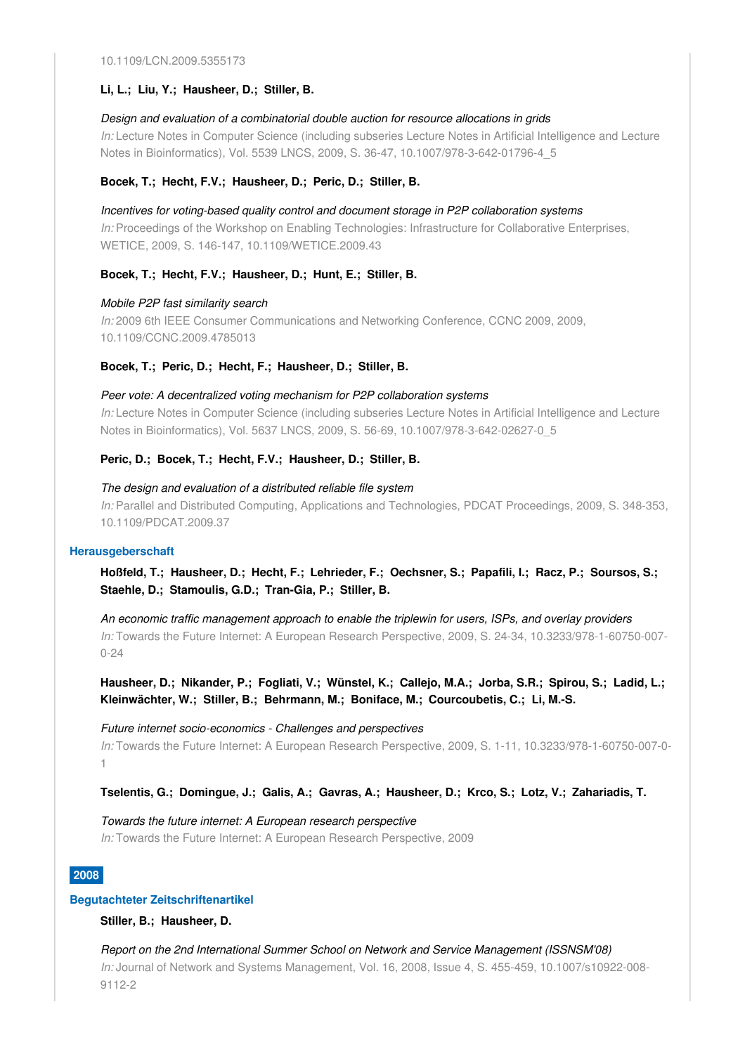#### **Li, L.; Liu, Y.; Hausheer, D.; Stiller, B.**

#### *Design and evaluation of a combinatorial double auction for resource allocations in grids*

*In:* Lecture Notes in Computer Science (including subseries Lecture Notes in Artificial Intelligence and Lecture Notes in Bioinformatics), Vol. 5539 LNCS, 2009, S. 36-47, 10.1007/978-3-642-01796-4\_5

#### **Bocek, T.; Hecht, F.V.; Hausheer, D.; Peric, D.; Stiller, B.**

*Incentives for voting-based quality control and document storage in P2P collaboration systems In:* Proceedings of the Workshop on Enabling Technologies: Infrastructure for Collaborative Enterprises, WETICE, 2009, S. 146-147, 10.1109/WETICE.2009.43

#### **Bocek, T.; Hecht, F.V.; Hausheer, D.; Hunt, E.; Stiller, B.**

#### *Mobile P2P fast similarity search*

*In:* 2009 6th IEEE Consumer Communications and Networking Conference, CCNC 2009, 2009, 10.1109/CCNC.2009.4785013

#### **Bocek, T.; Peric, D.; Hecht, F.; Hausheer, D.; Stiller, B.**

#### *Peer vote: A decentralized voting mechanism for P2P collaboration systems*

*In:* Lecture Notes in Computer Science (including subseries Lecture Notes in Artificial Intelligence and Lecture Notes in Bioinformatics), Vol. 5637 LNCS, 2009, S. 56-69, 10.1007/978-3-642-02627-0\_5

#### **Peric, D.; Bocek, T.; Hecht, F.V.; Hausheer, D.; Stiller, B.**

#### *The design and evaluation of a distributed reliable file system*

*In:* Parallel and Distributed Computing, Applications and Technologies, PDCAT Proceedings, 2009, S. 348-353, 10.1109/PDCAT.2009.37

#### **Herausgeberschaft**

**Hoßfeld, T.; Hausheer, D.; Hecht, F.; Lehrieder, F.; Oechsner, S.; Papafili, I.; Racz, P.; Soursos, S.; Staehle, D.; Stamoulis, G.D.; Tran-Gia, P.; Stiller, B.**

*An economic traffic management approach to enable the triplewin for users, ISPs, and overlay providers In:* Towards the Future Internet: A European Research Perspective, 2009, S. 24-34, 10.3233/978-1-60750-007- 0-24

**Hausheer, D.; Nikander, P.; Fogliati, V.; Wünstel, K.; Callejo, M.A.; Jorba, S.R.; Spirou, S.; Ladid, L.; Kleinwächter, W.; Stiller, B.; Behrmann, M.; Boniface, M.; Courcoubetis, C.; Li, M.-S.**

*Future internet socio-economics - Challenges and perspectives In:* Towards the Future Internet: A European Research Perspective, 2009, S. 1-11, 10.3233/978-1-60750-007-0- 1

#### **Tselentis, G.; Domingue, J.; Galis, A.; Gavras, A.; Hausheer, D.; Krco, S.; Lotz, V.; Zahariadis, T.**

*Towards the future internet: A European research perspective In:* Towards the Future Internet: A European Research Perspective, 2009

#### **2008**

#### **Begutachteter Zeitschriftenartikel**

**Stiller, B.; Hausheer, D.**

*Report on the 2nd International Summer School on Network and Service Management (ISSNSM'08) In:* Journal of Network and Systems Management, Vol. 16, 2008, Issue 4, S. 455-459, 10.1007/s10922-008- 9112-2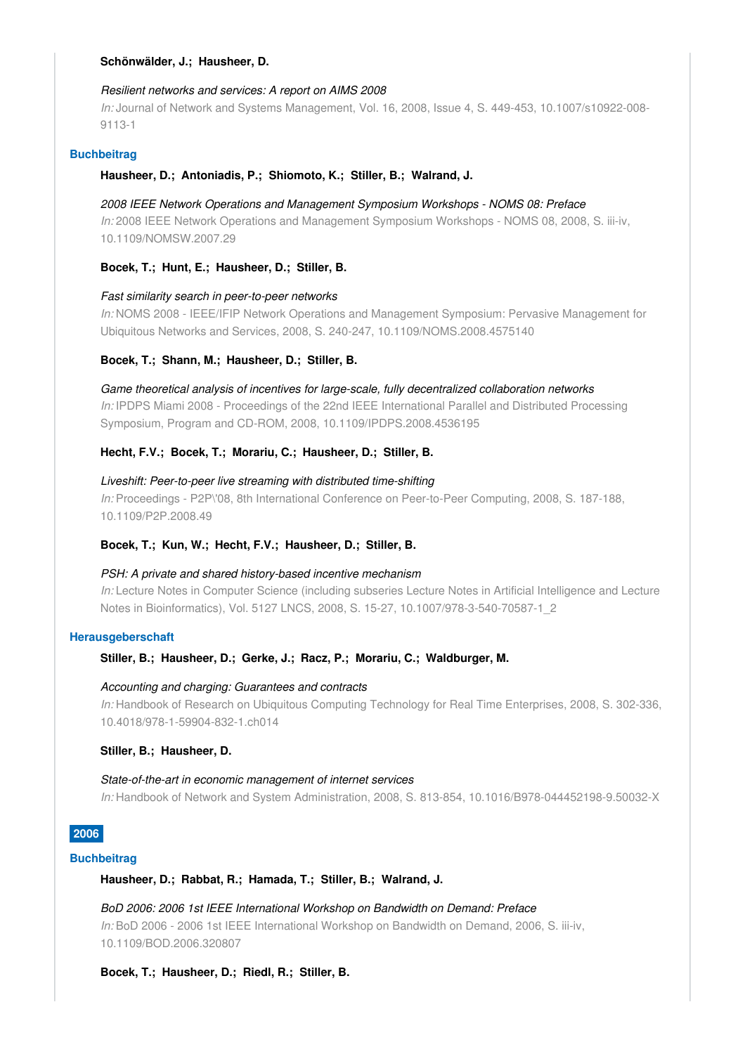#### **Schönwälder, J.; Hausheer, D.**

#### *Resilient networks and services: A report on AIMS 2008*

*In:* Journal of Network and Systems Management, Vol. 16, 2008, Issue 4, S. 449-453, 10.1007/s10922-008- 9113-1

#### **Buchbeitrag**

#### **Hausheer, D.; Antoniadis, P.; Shiomoto, K.; Stiller, B.; Walrand, J.**

#### *2008 IEEE Network Operations and Management Symposium Workshops - NOMS 08: Preface*

*In:* 2008 IEEE Network Operations and Management Symposium Workshops - NOMS 08, 2008, S. iii-iv, 10.1109/NOMSW.2007.29

#### **Bocek, T.; Hunt, E.; Hausheer, D.; Stiller, B.**

#### *Fast similarity search in peer-to-peer networks*

*In:* NOMS 2008 - IEEE/IFIP Network Operations and Management Symposium: Pervasive Management for Ubiquitous Networks and Services, 2008, S. 240-247, 10.1109/NOMS.2008.4575140

#### **Bocek, T.; Shann, M.; Hausheer, D.; Stiller, B.**

#### *Game theoretical analysis of incentives for large-scale, fully decentralized collaboration networks*

*In:* IPDPS Miami 2008 - Proceedings of the 22nd IEEE International Parallel and Distributed Processing Symposium, Program and CD-ROM, 2008, 10.1109/IPDPS.2008.4536195

#### **Hecht, F.V.; Bocek, T.; Morariu, C.; Hausheer, D.; Stiller, B.**

#### *Liveshift: Peer-to-peer live streaming with distributed time-shifting*

*In:* Proceedings - P2P\'08, 8th International Conference on Peer-to-Peer Computing, 2008, S. 187-188, 10.1109/P2P.2008.49

#### **Bocek, T.; Kun, W.; Hecht, F.V.; Hausheer, D.; Stiller, B.**

#### *PSH: A private and shared history-based incentive mechanism*

*In:* Lecture Notes in Computer Science (including subseries Lecture Notes in Artificial Intelligence and Lecture Notes in Bioinformatics), Vol. 5127 LNCS, 2008, S. 15-27, 10.1007/978-3-540-70587-1\_2

#### **Herausgeberschaft**

**Stiller, B.; Hausheer, D.; Gerke, J.; Racz, P.; Morariu, C.; Waldburger, M.**

#### *Accounting and charging: Guarantees and contracts*

*In:* Handbook of Research on Ubiquitous Computing Technology for Real Time Enterprises, 2008, S. 302-336, 10.4018/978-1-59904-832-1.ch014

#### **Stiller, B.; Hausheer, D.**

#### *State-of-the-art in economic management of internet services*

*In:* Handbook of Network and System Administration, 2008, S. 813-854, 10.1016/B978-044452198-9.50032-X

#### **2006**

# **Buchbeitrag**

#### **Hausheer, D.; Rabbat, R.; Hamada, T.; Stiller, B.; Walrand, J.**

*BoD 2006: 2006 1st IEEE International Workshop on Bandwidth on Demand: Preface In:* BoD 2006 - 2006 1st IEEE International Workshop on Bandwidth on Demand, 2006, S. iii-iv, 10.1109/BOD.2006.320807

#### **Bocek, T.; Hausheer, D.; Riedl, R.; Stiller, B.**